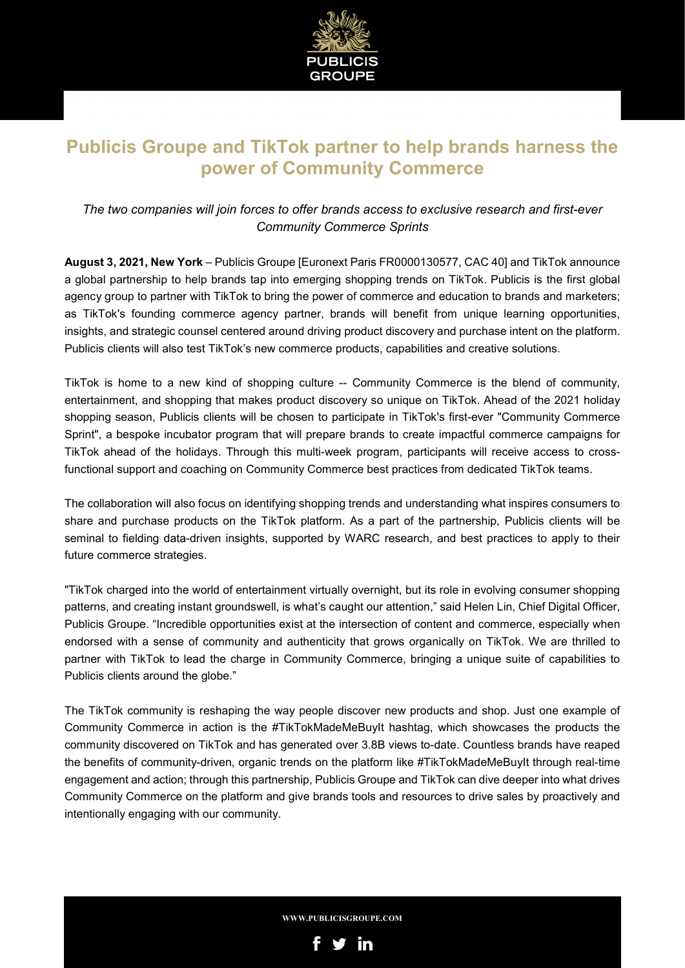

## **Publicis Groupe and TikTok partner to help brands harness the power of Community Commerce**

### *The two companies will join forces to offer brands access to exclusive research and first-ever Community Commerce Sprints*

**August 3, 2021, New York** – Publicis Groupe [Euronext Paris FR0000130577, CAC 40] and TikTok announce a global partnership to help brands tap into emerging shopping trends on TikTok. Publicis is the first global agency group to partner with TikTok to bring the power of commerce and education to brands and marketers; as TikTok's founding commerce agency partner, brands will benefit from unique learning opportunities, insights, and strategic counsel centered around driving product discovery and purchase intent on the platform. Publicis clients will also test TikTok's new commerce products, capabilities and creative solutions.

TikTok is home to a new kind of shopping culture -- Community Commerce is the blend of community, entertainment, and shopping that makes product discovery so unique on TikTok. Ahead of the 2021 holiday shopping season, Publicis clients will be chosen to participate in TikTok's first-ever "Community Commerce Sprint", a bespoke incubator program that will prepare brands to create impactful commerce campaigns for TikTok ahead of the holidays. Through this multi-week program, participants will receive access to crossfunctional support and coaching on Community Commerce best practices from dedicated TikTok teams.

The collaboration will also focus on identifying shopping trends and understanding what inspires consumers to share and purchase products on the TikTok platform. As a part of the partnership, Publicis clients will be seminal to fielding data-driven insights, supported by WARC research, and best practices to apply to their future commerce strategies.

"TikTok charged into the world of entertainment virtually overnight, but its role in evolving consumer shopping patterns, and creating instant groundswell, is what's caught our attention," said Helen Lin, Chief Digital Officer, Publicis Groupe. "Incredible opportunities exist at the intersection of content and commerce, especially when endorsed with a sense of community and authenticity that grows organically on TikTok. We are thrilled to partner with TikTok to lead the charge in Community Commerce, bringing a unique suite of capabilities to Publicis clients around the globe."

The TikTok community is reshaping the way people discover new products and shop. Just one example of Community Commerce in action is the #TikTokMadeMeBuyIt hashtag, which showcases the products the community discovered on TikTok and has generated over 3.8B views to-date. Countless brands have reaped the benefits of community-driven, organic trends on the platform like #TikTokMadeMeBuyIt through real-time engagement and action; through this partnership, Publicis Groupe and TikTok can dive deeper into what drives Community Commerce on the platform and give brands tools and resources to drive sales by proactively and intentionally engaging with our community.

**WWW.PUBLICISGROUPE.COM**